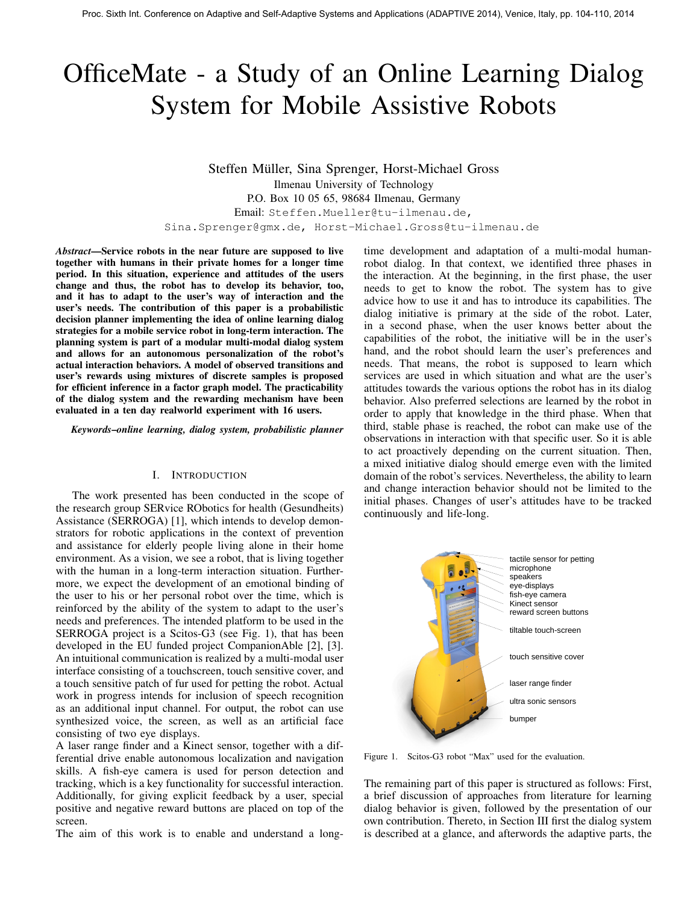# OfficeMate - a Study of an Online Learning Dialog System for Mobile Assistive Robots

Steffen Muller, Sina Sprenger, Horst-Michael Gross ¨ Ilmenau University of Technology P.O. Box 10 05 65, 98684 Ilmenau, Germany Email: Steffen.Mueller@tu-ilmenau.de, Sina.Sprenger@gmx.de, Horst-Michael.Gross@tu-ilmenau.de

*Abstract*—Service robots in the near future are supposed to live together with humans in their private homes for a longer time period. In this situation, experience and attitudes of the users change and thus, the robot has to develop its behavior, too, and it has to adapt to the user's way of interaction and the user's needs. The contribution of this paper is a probabilistic decision planner implementing the idea of online learning dialog strategies for a mobile service robot in long-term interaction. The planning system is part of a modular multi-modal dialog system and allows for an autonomous personalization of the robot's actual interaction behaviors. A model of observed transitions and user's rewards using mixtures of discrete samples is proposed for efficient inference in a factor graph model. The practicability of the dialog system and the rewarding mechanism have been evaluated in a ten day realworld experiment with 16 users.

*Keywords*–*online learning, dialog system, probabilistic planner*

# I. INTRODUCTION

The work presented has been conducted in the scope of the research group SERvice RObotics for health (Gesundheits) Assistance (SERROGA) [1], which intends to develop demonstrators for robotic applications in the context of prevention and assistance for elderly people living alone in their home environment. As a vision, we see a robot, that is living together with the human in a long-term interaction situation. Furthermore, we expect the development of an emotional binding of the user to his or her personal robot over the time, which is reinforced by the ability of the system to adapt to the user's needs and preferences. The intended platform to be used in the SERROGA project is a Scitos-G3 (see Fig. 1), that has been developed in the EU funded project CompanionAble [2], [3]. An intuitional communication is realized by a multi-modal user interface consisting of a touchscreen, touch sensitive cover, and a touch sensitive patch of fur used for petting the robot. Actual work in progress intends for inclusion of speech recognition as an additional input channel. For output, the robot can use synthesized voice, the screen, as well as an artificial face consisting of two eye displays.

A laser range finder and a Kinect sensor, together with a differential drive enable autonomous localization and navigation skills. A fish-eye camera is used for person detection and tracking, which is a key functionality for successful interaction. Additionally, for giving explicit feedback by a user, special positive and negative reward buttons are placed on top of the screen.

The aim of this work is to enable and understand a long-

time development and adaptation of a multi-modal humanrobot dialog. In that context, we identified three phases in the interaction. At the beginning, in the first phase, the user needs to get to know the robot. The system has to give advice how to use it and has to introduce its capabilities. The dialog initiative is primary at the side of the robot. Later, in a second phase, when the user knows better about the capabilities of the robot, the initiative will be in the user's hand, and the robot should learn the user's preferences and needs. That means, the robot is supposed to learn which services are used in which situation and what are the user's attitudes towards the various options the robot has in its dialog behavior. Also preferred selections are learned by the robot in order to apply that knowledge in the third phase. When that third, stable phase is reached, the robot can make use of the observations in interaction with that specific user. So it is able to act proactively depending on the current situation. Then, a mixed initiative dialog should emerge even with the limited domain of the robot's services. Nevertheless, the ability to learn and change interaction behavior should not be limited to the initial phases. Changes of user's attitudes have to be tracked continuously and life-long.



Figure 1. Scitos-G3 robot "Max" used for the evaluation.

The remaining part of this paper is structured as follows: First, a brief discussion of approaches from literature for learning dialog behavior is given, followed by the presentation of our own contribution. Thereto, in Section III first the dialog system is described at a glance, and afterwords the adaptive parts, the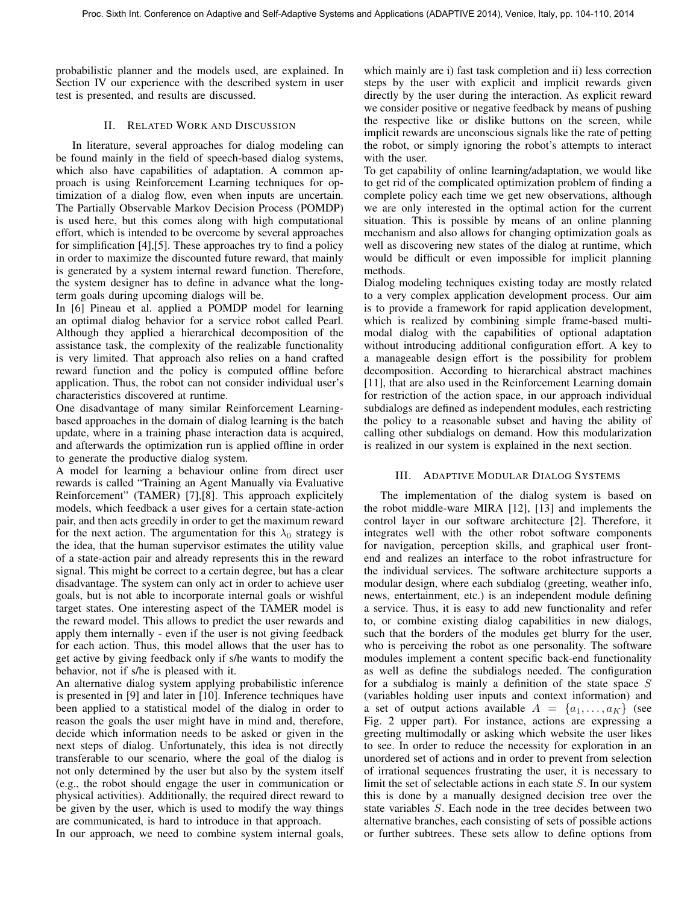probabilistic planner and the models used, are explained. In Section IV our experience with the described system in user test is presented, and results are discussed.

# II. RELATED WORK AND DISCUSSION

In literature, several approaches for dialog modeling can be found mainly in the field of speech-based dialog systems, which also have capabilities of adaptation. A common approach is using Reinforcement Learning techniques for optimization of a dialog flow, even when inputs are uncertain. The Partially Observable Markov Decision Process (POMDP) is used here, but this comes along with high computational effort, which is intended to be overcome by several approaches for simplification [4],[5]. These approaches try to find a policy in order to maximize the discounted future reward, that mainly is generated by a system internal reward function. Therefore, the system designer has to define in advance what the longterm goals during upcoming dialogs will be.

In [6] Pineau et al. applied a POMDP model for learning an optimal dialog behavior for a service robot called Pearl. Although they applied a hierarchical decomposition of the assistance task, the complexity of the realizable functionality is very limited. That approach also relies on a hand crafted reward function and the policy is computed offline before application. Thus, the robot can not consider individual user's characteristics discovered at runtime.

One disadvantage of many similar Reinforcement Learningbased approaches in the domain of dialog learning is the batch update, where in a training phase interaction data is acquired, and afterwards the optimization run is applied offline in order to generate the productive dialog system.

A model for learning a behaviour online from direct user rewards is called "Training an Agent Manually via Evaluative Reinforcement" (TAMER) [7],[8]. This approach explicitely models, which feedback a user gives for a certain state-action pair, and then acts greedily in order to get the maximum reward for the next action. The argumentation for this  $\lambda_0$  strategy is the idea, that the human supervisor estimates the utility value of a state-action pair and already represents this in the reward signal. This might be correct to a certain degree, but has a clear disadvantage. The system can only act in order to achieve user goals, but is not able to incorporate internal goals or wishful target states. One interesting aspect of the TAMER model is the reward model. This allows to predict the user rewards and apply them internally - even if the user is not giving feedback for each action. Thus, this model allows that the user has to get active by giving feedback only if s/he wants to modify the behavior, not if s/he is pleased with it.

An alternative dialog system applying probabilistic inference is presented in [9] and later in [10]. Inference techniques have been applied to a statistical model of the dialog in order to reason the goals the user might have in mind and, therefore, decide which information needs to be asked or given in the next steps of dialog. Unfortunately, this idea is not directly transferable to our scenario, where the goal of the dialog is not only determined by the user but also by the system itself (e.g., the robot should engage the user in communication or physical activities). Additionally, the required direct reward to be given by the user, which is used to modify the way things are communicated, is hard to introduce in that approach.

In our approach, we need to combine system internal goals,

which mainly are i) fast task completion and ii) less correction steps by the user with explicit and implicit rewards given directly by the user during the interaction. As explicit reward we consider positive or negative feedback by means of pushing the respective like or dislike buttons on the screen, while implicit rewards are unconscious signals like the rate of petting the robot, or simply ignoring the robot's attempts to interact with the user.

To get capability of online learning/adaptation, we would like to get rid of the complicated optimization problem of finding a complete policy each time we get new observations, although we are only interested in the optimal action for the current situation. This is possible by means of an online planning mechanism and also allows for changing optimization goals as well as discovering new states of the dialog at runtime, which would be difficult or even impossible for implicit planning methods.

Dialog modeling techniques existing today are mostly related to a very complex application development process. Our aim is to provide a framework for rapid application development, which is realized by combining simple frame-based multimodal dialog with the capabilities of optional adaptation without introducing additional configuration effort. A key to a manageable design effort is the possibility for problem decomposition. According to hierarchical abstract machines [11], that are also used in the Reinforcement Learning domain for restriction of the action space, in our approach individual subdialogs are defined as independent modules, each restricting the policy to a reasonable subset and having the ability of calling other subdialogs on demand. How this modularization is realized in our system is explained in the next section.

## III. ADAPTIVE MODULAR DIALOG SYSTEMS

The implementation of the dialog system is based on the robot middle-ware MIRA [12], [13] and implements the control layer in our software architecture [2]. Therefore, it integrates well with the other robot software components for navigation, perception skills, and graphical user frontend and realizes an interface to the robot infrastructure for the individual services. The software architecture supports a modular design, where each subdialog (greeting, weather info, news, entertainment, etc.) is an independent module defining a service. Thus, it is easy to add new functionality and refer to, or combine existing dialog capabilities in new dialogs, such that the borders of the modules get blurry for the user, who is perceiving the robot as one personality. The software modules implement a content specific back-end functionality as well as define the subdialogs needed. The configuration for a subdialog is mainly a definition of the state space  $S$ (variables holding user inputs and context information) and a set of output actions available  $A = \{a_1, \ldots, a_K\}$  (see Fig. 2 upper part). For instance, actions are expressing a greeting multimodally or asking which website the user likes to see. In order to reduce the necessity for exploration in an unordered set of actions and in order to prevent from selection of irrational sequences frustrating the user, it is necessary to limit the set of selectable actions in each state S. In our system this is done by a manually designed decision tree over the state variables S. Each node in the tree decides between two alternative branches, each consisting of sets of possible actions or further subtrees. These sets allow to define options from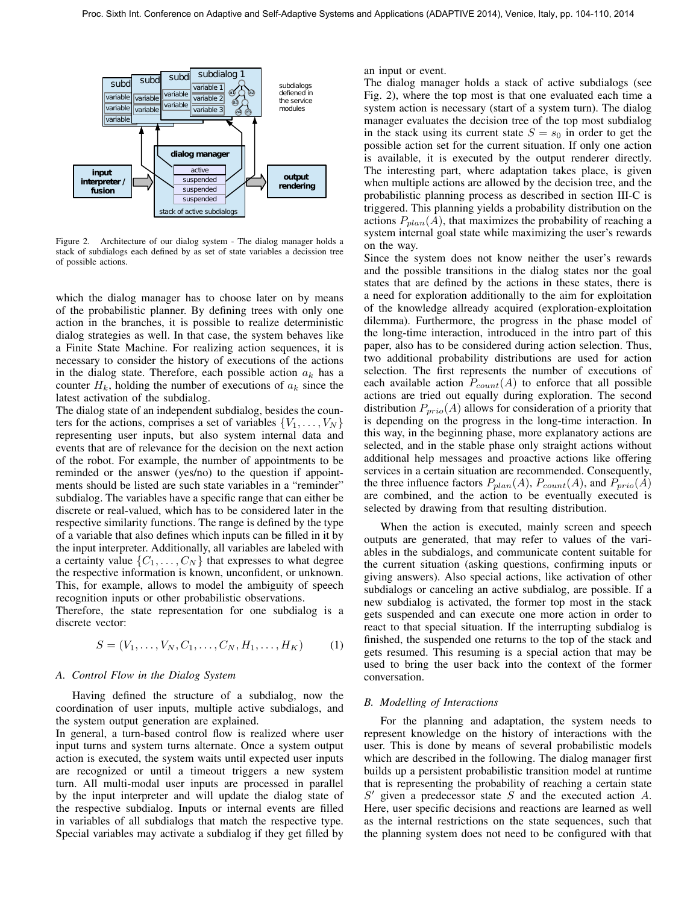

Figure 2. Architecture of our dialog system - The dialog manager holds a stack of subdialogs each defined by as set of state variables a decission tree of possible actions.

which the dialog manager has to choose later on by means of the probabilistic planner. By defining trees with only one action in the branches, it is possible to realize deterministic dialog strategies as well. In that case, the system behaves like a Finite State Machine. For realizing action sequences, it is necessary to consider the history of executions of the actions in the dialog state. Therefore, each possible action  $a_k$  has a counter  $H_k$ , holding the number of executions of  $a_k$  since the latest activation of the subdialog.

The dialog state of an independent subdialog, besides the counters for the actions, comprises a set of variables  $\{V_1, \ldots, V_N\}$ representing user inputs, but also system internal data and events that are of relevance for the decision on the next action of the robot. For example, the number of appointments to be reminded or the answer (yes/no) to the question if appointments should be listed are such state variables in a "reminder" subdialog. The variables have a specific range that can either be discrete or real-valued, which has to be considered later in the respective similarity functions. The range is defined by the type of a variable that also defines which inputs can be filled in it by the input interpreter. Additionally, all variables are labeled with a certainty value  $\{C_1, \ldots, C_N\}$  that expresses to what degree the respective information is known, unconfident, or unknown. This, for example, allows to model the ambiguity of speech recognition inputs or other probabilistic observations.

Therefore, the state representation for one subdialog is a discrete vector:

$$
S = (V_1, \dots, V_N, C_1, \dots, C_N, H_1, \dots, H_K)
$$
 (1)

#### *A. Control Flow in the Dialog System*

Having defined the structure of a subdialog, now the coordination of user inputs, multiple active subdialogs, and the system output generation are explained.

In general, a turn-based control flow is realized where user input turns and system turns alternate. Once a system output action is executed, the system waits until expected user inputs are recognized or until a timeout triggers a new system turn. All multi-modal user inputs are processed in parallel by the input interpreter and will update the dialog state of the respective subdialog. Inputs or internal events are filled in variables of all subdialogs that match the respective type. Special variables may activate a subdialog if they get filled by an input or event.

The dialog manager holds a stack of active subdialogs (see Fig. 2), where the top most is that one evaluated each time a system action is necessary (start of a system turn). The dialog manager evaluates the decision tree of the top most subdialog in the stack using its current state  $S = s_0$  in order to get the possible action set for the current situation. If only one action is available, it is executed by the output renderer directly. The interesting part, where adaptation takes place, is given when multiple actions are allowed by the decision tree, and the probabilistic planning process as described in section III-C is triggered. This planning yields a probability distribution on the actions  $P_{plan}(A)$ , that maximizes the probability of reaching a system internal goal state while maximizing the user's rewards on the way.

Since the system does not know neither the user's rewards and the possible transitions in the dialog states nor the goal states that are defined by the actions in these states, there is a need for exploration additionally to the aim for exploitation of the knowledge allready acquired (exploration-exploitation dilemma). Furthermore, the progress in the phase model of the long-time interaction, introduced in the intro part of this paper, also has to be considered during action selection. Thus, two additional probability distributions are used for action selection. The first represents the number of executions of each available action  $P_{count}(A)$  to enforce that all possible actions are tried out equally during exploration. The second distribution  $P_{prio}(A)$  allows for consideration of a priority that is depending on the progress in the long-time interaction. In this way, in the beginning phase, more explanatory actions are selected, and in the stable phase only straight actions without additional help messages and proactive actions like offering services in a certain situation are recommended. Consequently, the three influence factors  $P_{plan}(A)$ ,  $P_{count}(A)$ , and  $P_{prio}(A)$ are combined, and the action to be eventually executed is selected by drawing from that resulting distribution.

When the action is executed, mainly screen and speech outputs are generated, that may refer to values of the variables in the subdialogs, and communicate content suitable for the current situation (asking questions, confirming inputs or giving answers). Also special actions, like activation of other subdialogs or canceling an active subdialog, are possible. If a new subdialog is activated, the former top most in the stack gets suspended and can execute one more action in order to react to that special situation. If the interrupting subdialog is finished, the suspended one returns to the top of the stack and gets resumed. This resuming is a special action that may be used to bring the user back into the context of the former conversation.

# *B. Modelling of Interactions*

For the planning and adaptation, the system needs to represent knowledge on the history of interactions with the user. This is done by means of several probabilistic models which are described in the following. The dialog manager first builds up a persistent probabilistic transition model at runtime that is representing the probability of reaching a certain state  $S'$  given a predecessor state  $S$  and the executed action  $A$ . Here, user specific decisions and reactions are learned as well as the internal restrictions on the state sequences, such that the planning system does not need to be configured with that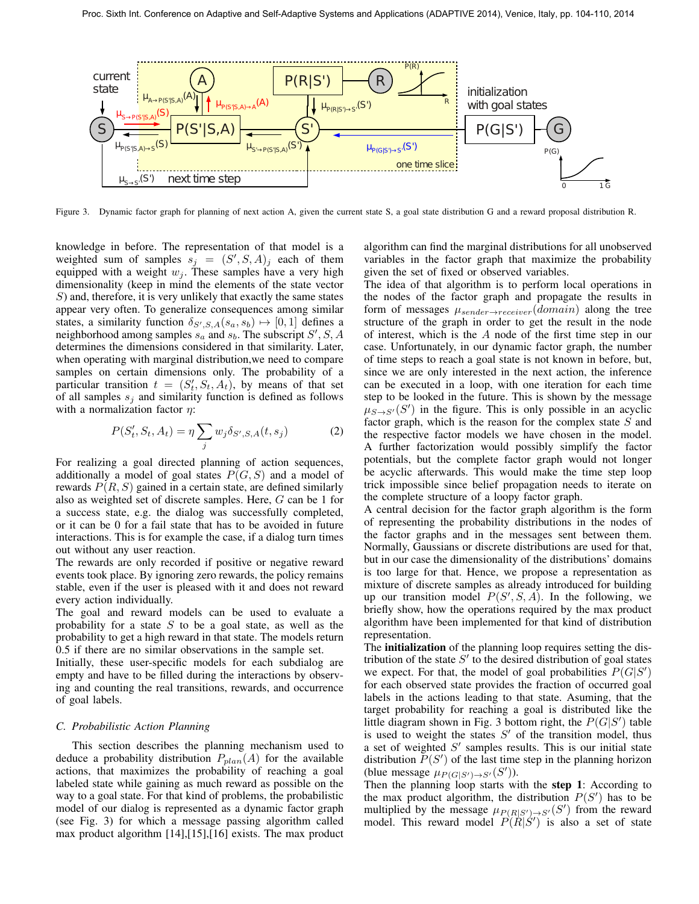

Figure 3. Dynamic factor graph for planning of next action A, given the current state S, a goal state distribution G and a reward proposal distribution R.

knowledge in before. The representation of that model is a weighted sum of samples  $s_j = (S', S, A)_j$  each of them equipped with a weight  $w_i$ . These samples have a very high dimensionality (keep in mind the elements of the state vector S) and, therefore, it is very unlikely that exactly the same states appear very often. To generalize consequences among similar states, a similarity function  $\delta_{S',S,A}(s_a, s_b) \mapsto [0, 1]$  defines a neighborhood among samples  $s_a$  and  $s_b$ . The subscript  $S'$ ,  $S$ ,  $A$ determines the dimensions considered in that similarity. Later, when operating with marginal distribution,we need to compare samples on certain dimensions only. The probability of a particular transition  $t = (S_t', S_t, A_t)$ , by means of that set of all samples  $s_i$  and similarity function is defined as follows with a normalization factor  $\eta$ :

$$
P(S'_t, S_t, A_t) = \eta \sum_j w_j \delta_{S',S,A}(t, s_j)
$$
 (2)

For realizing a goal directed planning of action sequences, additionally a model of goal states  $P(G, S)$  and a model of rewards  $P(R, S)$  gained in a certain state, are defined similarly also as weighted set of discrete samples. Here, G can be 1 for a success state, e.g. the dialog was successfully completed, or it can be 0 for a fail state that has to be avoided in future interactions. This is for example the case, if a dialog turn times out without any user reaction.

The rewards are only recorded if positive or negative reward events took place. By ignoring zero rewards, the policy remains stable, even if the user is pleased with it and does not reward every action individually.

The goal and reward models can be used to evaluate a probability for a state  $S$  to be a goal state, as well as the probability to get a high reward in that state. The models return 0.5 if there are no similar observations in the sample set.

Initially, these user-specific models for each subdialog are empty and have to be filled during the interactions by observing and counting the real transitions, rewards, and occurrence of goal labels.

# *C. Probabilistic Action Planning*

This section describes the planning mechanism used to deduce a probability distribution  $P_{plan}(A)$  for the available actions, that maximizes the probability of reaching a goal labeled state while gaining as much reward as possible on the way to a goal state. For that kind of problems, the probabilistic model of our dialog is represented as a dynamic factor graph (see Fig. 3) for which a message passing algorithm called max product algorithm [14],[15],[16] exists. The max product algorithm can find the marginal distributions for all unobserved variables in the factor graph that maximize the probability given the set of fixed or observed variables.

The idea of that algorithm is to perform local operations in the nodes of the factor graph and propagate the results in form of messages  $\mu_{sender \rightarrow receiver}(domain)$  along the tree structure of the graph in order to get the result in the node of interest, which is the A node of the first time step in our case. Unfortunately, in our dynamic factor graph, the number of time steps to reach a goal state is not known in before, but, since we are only interested in the next action, the inference can be executed in a loop, with one iteration for each time step to be looked in the future. This is shown by the message  $\mu_{S\rightarrow S'}(S')$  in the figure. This is only possible in an acyclic factor graph, which is the reason for the complex state  $S$  and the respective factor models we have chosen in the model. A further factorization would possibly simplify the factor potentials, but the complete factor graph would not longer be acyclic afterwards. This would make the time step loop trick impossible since belief propagation needs to iterate on the complete structure of a loopy factor graph.

A central decision for the factor graph algorithm is the form of representing the probability distributions in the nodes of the factor graphs and in the messages sent between them. Normally, Gaussians or discrete distributions are used for that, but in our case the dimensionality of the distributions' domains is too large for that. Hence, we propose a representation as mixture of discrete samples as already introduced for building up our transition model  $P(S', S, A)$ . In the following, we briefly show, how the operations required by the max product algorithm have been implemented for that kind of distribution representation.

The initialization of the planning loop requires setting the distribution of the state  $S'$  to the desired distribution of goal states we expect. For that, the model of goal probabilities  $P(G|S')$ for each observed state provides the fraction of occurred goal labels in the actions leading to that state. Asuming, that the target probability for reaching a goal is distributed like the little diagram shown in Fig. 3 bottom right, the  $P(G|S')$  table is used to weight the states  $S'$  of the transition model, thus a set of weighted  $S'$  samples results. This is our initial state distribution  $P(S')$  of the last time step in the planning horizon (blue message  $\mu_{P(G|S')\to S'}(S')$ ).

Then the planning loop starts with the step 1: According to the max product algorithm, the distribution  $P(S')$  has to be multiplied by the message  $\mu_{P(R|S')\to S'}(S')$  from the reward model. This reward model  $P(R|S')$  is also a set of state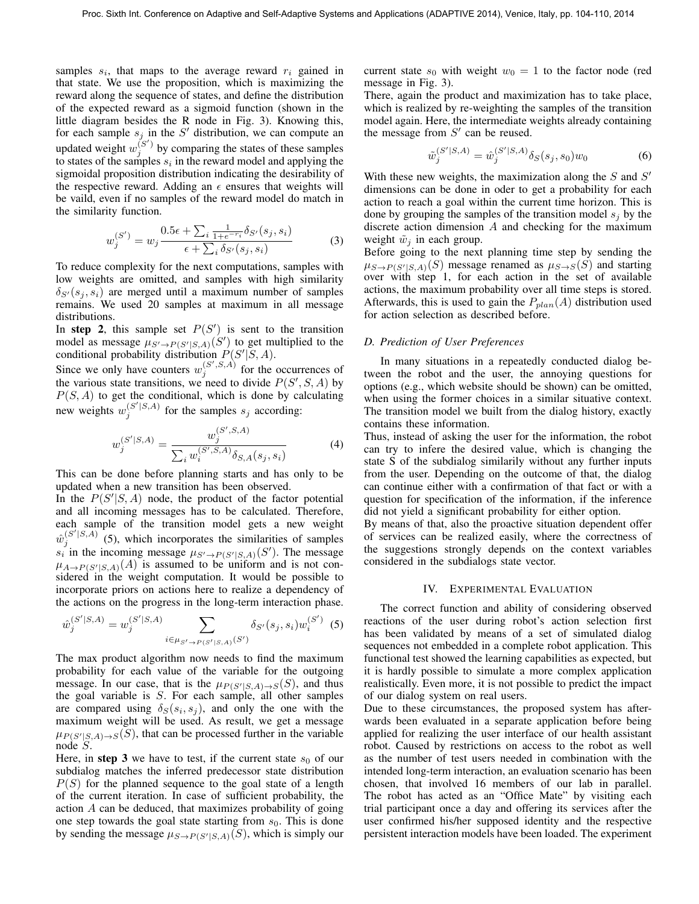samples  $s_i$ , that maps to the average reward  $r_i$  gained in that state. We use the proposition, which is maximizing the reward along the sequence of states, and define the distribution of the expected reward as a sigmoid function (shown in the little diagram besides the R node in Fig. 3). Knowing this, for each sample  $s_j$  in the S' distribution, we can compute an updated weight  $w_j^{(S')}$  by comparing the states of these samples to states of the samples  $s_i$  in the reward model and applying the sigmoidal proposition distribution indicating the desirability of the respective reward. Adding an  $\epsilon$  ensures that weights will be vaild, even if no samples of the reward model do match in the similarity function.

$$
w_j^{(S')} = w_j \frac{0.5\epsilon + \sum_i \frac{1}{1 + e^{-r_i}} \delta_{S'}(s_j, s_i)}{\epsilon + \sum_i \delta_{S'}(s_j, s_i)}
$$
(3)

To reduce complexity for the next computations, samples with low weights are omitted, and samples with high similarity  $\delta_{S'}(s_i, s_i)$  are merged until a maximum number of samples remains. We used 20 samples at maximum in all message distributions.

In step 2, this sample set  $P(S')$  is sent to the transition model as message  $\mu_{S' \to P(S'|S,A)}(S')$  to get multiplied to the conditional probability distribution  $P(S'|S, A)$ .

Since we only have counters  $w_j^{(S',S,A)}$  for the occurrences of the various state transitions, we need to divide  $P(S', S, A)$  by  $P(S, A)$  to get the conditional, which is done by calculating new weights  $w_j^{(S'|S,A)}$  for the samples  $s_j$  according:

$$
w_j^{(S'|S,A)} = \frac{w_j^{(S',S,A)}}{\sum_i w_i^{(S',S,A)} \delta_{S,A}(s_j,s_i)}
$$
(4)

This can be done before planning starts and has only to be updated when a new transition has been observed.

In the  $P(S'|S, A)$  node, the product of the factor potential and all incoming messages has to be calculated. Therefore, each sample of the transition model gets a new weight  $\hat{w}_j^{(S'|S,A)}$  (5), which incorporates the similarities of samples  $s_i$  in the incoming message  $\mu_{S' \to P(S'|S,A)}(S')$ . The message  $\mu_{A\to P(S'|S,A)}(A)$  is assumed to be uniform and is not considered in the weight computation. It would be possible to incorporate priors on actions here to realize a dependency of the actions on the progress in the long-term interaction phase.

$$
\hat{w}_{j}^{(S'|S,A)} = w_{j}^{(S'|S,A)} \sum_{i \in \mu_{S' \to P(S'|S,A)}(S')} \delta_{S'}(s_j, s_i) w_{i}^{(S')} \tag{5}
$$

The max product algorithm now needs to find the maximum probability for each value of the variable for the outgoing message. In our case, that is the  $\mu_{P(S'|S,A)\to S}(S)$ , and thus the goal variable is  $S$ . For each sample, all other samples are compared using  $\delta_S(s_i, s_j)$ , and only the one with the maximum weight will be used. As result, we get a message  $\mu_{P(S'|S,A)\to S}(S)$ , that can be processed further in the variable node S.

Here, in step 3 we have to test, if the current state  $s_0$  of our subdialog matches the inferred predecessor state distribution  $P(S)$  for the planned sequence to the goal state of a length of the current iteration. In case of sufficient probability, the action A can be deduced, that maximizes probability of going one step towards the goal state starting from  $s<sub>0</sub>$ . This is done by sending the message  $\mu_{S\to P(S'|S,A)}(S)$ , which is simply our

current state  $s_0$  with weight  $w_0 = 1$  to the factor node (red message in Fig. 3).

There, again the product and maximization has to take place, which is realized by re-weighting the samples of the transition model again. Here, the intermediate weights already containing the message from  $S'$  can be reused.

$$
\tilde{w}_j^{(S'|S,A)} = \hat{w}_j^{(S'|S,A)} \delta_S(s_j, s_0) w_0 \tag{6}
$$

With these new weights, the maximization along the  $S$  and  $S'$ dimensions can be done in oder to get a probability for each action to reach a goal within the current time horizon. This is done by grouping the samples of the transition model  $s_i$  by the discrete action dimension A and checking for the maximum weight  $\tilde{w}_i$  in each group.

Before going to the next planning time step by sending the  $\mu_{S\to P(S'|S,A)}(S)$  message renamed as  $\mu_{S\to S}(S)$  and starting over with step 1, for each action in the set of available actions, the maximum probability over all time steps is stored. Afterwards, this is used to gain the  $P_{plan}(A)$  distribution used for action selection as described before.

#### *D. Prediction of User Preferences*

In many situations in a repeatedly conducted dialog between the robot and the user, the annoying questions for options (e.g., which website should be shown) can be omitted, when using the former choices in a similar situative context. The transition model we built from the dialog history, exactly contains these information.

Thus, instead of asking the user for the information, the robot can try to infere the desired value, which is changing the state S of the subdialog similarily without any further inputs from the user. Depending on the outcome of that, the dialog can continue either with a confirmation of that fact or with a question for specification of the information, if the inference did not yield a significant probability for either option.

By means of that, also the proactive situation dependent offer of services can be realized easily, where the correctness of the suggestions strongly depends on the context variables considered in the subdialogs state vector.

## IV. EXPERIMENTAL EVALUATION

The correct function and ability of considering observed reactions of the user during robot's action selection first has been validated by means of a set of simulated dialog sequences not embedded in a complete robot application. This functional test showed the learning capabilities as expected, but it is hardly possible to simulate a more complex application realistically. Even more, it is not possible to predict the impact of our dialog system on real users.

Due to these circumstances, the proposed system has afterwards been evaluated in a separate application before being applied for realizing the user interface of our health assistant robot. Caused by restrictions on access to the robot as well as the number of test users needed in combination with the intended long-term interaction, an evaluation scenario has been chosen, that involved 16 members of our lab in parallel. The robot has acted as an "Office Mate" by visiting each trial participant once a day and offering its services after the user confirmed his/her supposed identity and the respective persistent interaction models have been loaded. The experiment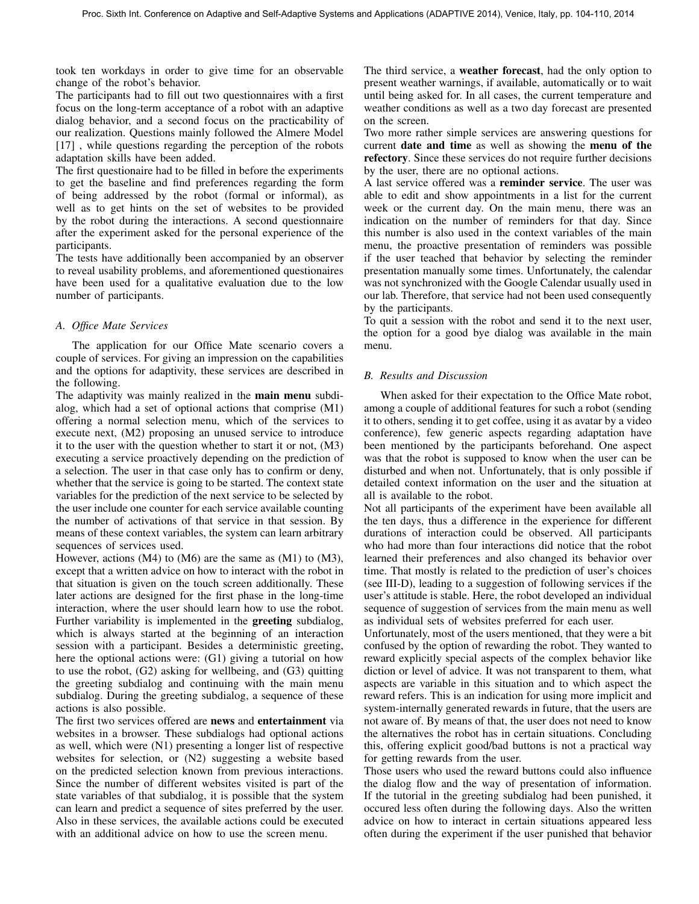took ten workdays in order to give time for an observable change of the robot's behavior.

The participants had to fill out two questionnaires with a first focus on the long-term acceptance of a robot with an adaptive dialog behavior, and a second focus on the practicability of our realization. Questions mainly followed the Almere Model [17], while questions regarding the perception of the robots adaptation skills have been added.

The first questionaire had to be filled in before the experiments to get the baseline and find preferences regarding the form of being addressed by the robot (formal or informal), as well as to get hints on the set of websites to be provided by the robot during the interactions. A second questionnaire after the experiment asked for the personal experience of the participants.

The tests have additionally been accompanied by an observer to reveal usability problems, and aforementioned questionaires have been used for a qualitative evaluation due to the low number of participants.

# *A. Office Mate Services*

The application for our Office Mate scenario covers a couple of services. For giving an impression on the capabilities and the options for adaptivity, these services are described in the following.

The adaptivity was mainly realized in the main menu subdialog, which had a set of optional actions that comprise (M1) offering a normal selection menu, which of the services to execute next, (M2) proposing an unused service to introduce it to the user with the question whether to start it or not, (M3) executing a service proactively depending on the prediction of a selection. The user in that case only has to confirm or deny, whether that the service is going to be started. The context state variables for the prediction of the next service to be selected by the user include one counter for each service available counting the number of activations of that service in that session. By means of these context variables, the system can learn arbitrary sequences of services used.

However, actions (M4) to (M6) are the same as (M1) to (M3), except that a written advice on how to interact with the robot in that situation is given on the touch screen additionally. These later actions are designed for the first phase in the long-time interaction, where the user should learn how to use the robot. Further variability is implemented in the **greeting** subdialog, which is always started at the beginning of an interaction session with a participant. Besides a deterministic greeting, here the optional actions were: (G1) giving a tutorial on how to use the robot, (G2) asking for wellbeing, and (G3) quitting the greeting subdialog and continuing with the main menu subdialog. During the greeting subdialog, a sequence of these actions is also possible.

The first two services offered are news and entertainment via websites in a browser. These subdialogs had optional actions as well, which were (N1) presenting a longer list of respective websites for selection, or (N2) suggesting a website based on the predicted selection known from previous interactions. Since the number of different websites visited is part of the state variables of that subdialog, it is possible that the system can learn and predict a sequence of sites preferred by the user. Also in these services, the available actions could be executed with an additional advice on how to use the screen menu.

The third service, a weather forecast, had the only option to present weather warnings, if available, automatically or to wait until being asked for. In all cases, the current temperature and weather conditions as well as a two day forecast are presented on the screen.

Two more rather simple services are answering questions for current date and time as well as showing the menu of the refectory. Since these services do not require further decisions by the user, there are no optional actions.

A last service offered was a reminder service. The user was able to edit and show appointments in a list for the current week or the current day. On the main menu, there was an indication on the number of reminders for that day. Since this number is also used in the context variables of the main menu, the proactive presentation of reminders was possible if the user teached that behavior by selecting the reminder presentation manually some times. Unfortunately, the calendar was not synchronized with the Google Calendar usually used in our lab. Therefore, that service had not been used consequently by the participants.

To quit a session with the robot and send it to the next user, the option for a good bye dialog was available in the main menu.

## *B. Results and Discussion*

When asked for their expectation to the Office Mate robot, among a couple of additional features for such a robot (sending it to others, sending it to get coffee, using it as avatar by a video conference), few generic aspects regarding adaptation have been mentioned by the participants beforehand. One aspect was that the robot is supposed to know when the user can be disturbed and when not. Unfortunately, that is only possible if detailed context information on the user and the situation at all is available to the robot.

Not all participants of the experiment have been available all the ten days, thus a difference in the experience for different durations of interaction could be observed. All participants who had more than four interactions did notice that the robot learned their preferences and also changed its behavior over time. That mostly is related to the prediction of user's choices (see III-D), leading to a suggestion of following services if the user's attitude is stable. Here, the robot developed an individual sequence of suggestion of services from the main menu as well as individual sets of websites preferred for each user.

Unfortunately, most of the users mentioned, that they were a bit confused by the option of rewarding the robot. They wanted to reward explicitly special aspects of the complex behavior like diction or level of advice. It was not transparent to them, what aspects are variable in this situation and to which aspect the reward refers. This is an indication for using more implicit and system-internally generated rewards in future, that the users are not aware of. By means of that, the user does not need to know the alternatives the robot has in certain situations. Concluding this, offering explicit good/bad buttons is not a practical way for getting rewards from the user.

Those users who used the reward buttons could also influence the dialog flow and the way of presentation of information. If the tutorial in the greeting subdialog had been punished, it occured less often during the following days. Also the written advice on how to interact in certain situations appeared less often during the experiment if the user punished that behavior